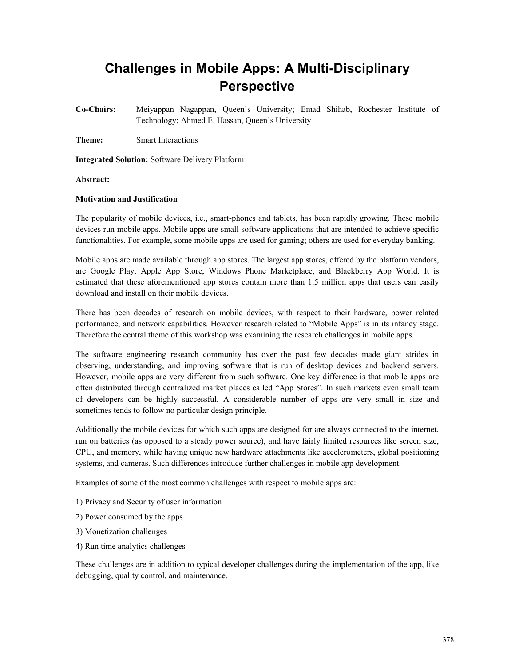# **Challenges in Mobile Apps: A Multi-Disciplinary Perspective**

**Co-Chairs:** Meiyappan Nagappan, Queen's University; Emad Shihab, Rochester Institute of Technology; Ahmed E. Hassan, Queen's University

**Theme:** Smart Interactions

**Integrated Solution:** Software Delivery Platform

#### **Abstract:**

#### **Motivation and Justification**

The popularity of mobile devices, i.e., smart-phones and tablets, has been rapidly growing. These mobile devices run mobile apps. Mobile apps are small software applications that are intended to achieve specific functionalities. For example, some mobile apps are used for gaming; others are used for everyday banking.

Mobile apps are made available through app stores. The largest app stores, offered by the platform vendors, are Google Play, Apple App Store, Windows Phone Marketplace, and Blackberry App World. It is estimated that these aforementioned app stores contain more than 1.5 million apps that users can easily download and install on their mobile devices.

There has been decades of research on mobile devices, with respect to their hardware, power related performance, and network capabilities. However research related to "Mobile Apps" is in its infancy stage. Therefore the central theme of this workshop was examining the research challenges in mobile apps.

The software engineering research community has over the past few decades made giant strides in observing, understanding, and improving software that is run of desktop devices and backend servers. However, mobile apps are very different from such software. One key difference is that mobile apps are often distributed through centralized market places called "App Stores". In such markets even small team of developers can be highly successful. A considerable number of apps are very small in size and sometimes tends to follow no particular design principle.

Additionally the mobile devices for which such apps are designed for are always connected to the internet, run on batteries (as opposed to a steady power source), and have fairly limited resources like screen size, CPU, and memory, while having unique new hardware attachments like accelerometers, global positioning systems, and cameras. Such differences introduce further challenges in mobile app development.

Examples of some of the most common challenges with respect to mobile apps are:

- 1) Privacy and Security of user information
- 2) Power consumed by the apps
- 3) Monetization challenges
- 4) Run time analytics challenges

These challenges are in addition to typical developer challenges during the implementation of the app, like debugging, quality control, and maintenance.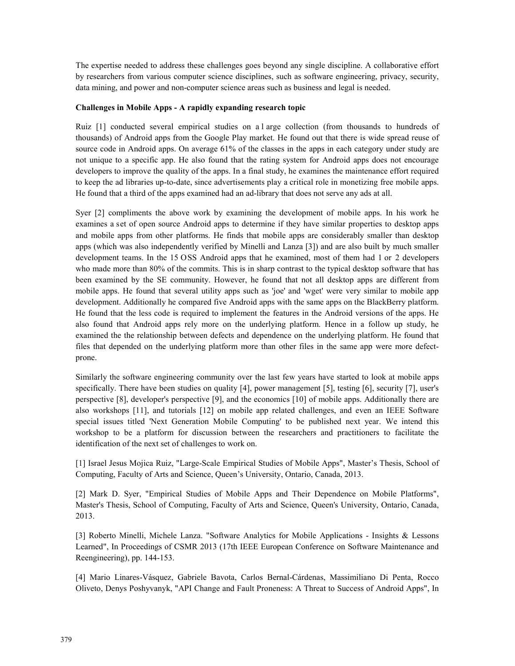The expertise needed to address these challenges goes beyond any single discipline. A collaborative effort by researchers from various computer science disciplines, such as software engineering, privacy, security, data mining, and power and non-computer science areas such as business and legal is needed.

## **Challenges in Mobile Apps - A rapidly expanding research topic**

Ruiz [1] conducted several empirical studies on a l arge collection (from thousands to hundreds of thousands) of Android apps from the Google Play market. He found out that there is wide spread reuse of source code in Android apps. On average 61% of the classes in the apps in each category under study are not unique to a specific app. He also found that the rating system for Android apps does not encourage developers to improve the quality of the apps. In a final study, he examines the maintenance effort required to keep the ad libraries up-to-date, since advertisements play a critical role in monetizing free mobile apps. He found that a third of the apps examined had an ad-library that does not serve any ads at all.

Syer [2] compliments the above work by examining the development of mobile apps. In his work he examines a set of open source Android apps to determine if they have similar properties to desktop apps and mobile apps from other platforms. He finds that mobile apps are considerably smaller than desktop apps (which was also independently verified by Minelli and Lanza [3]) and are also built by much smaller development teams. In the 15 OSS Android apps that he examined, most of them had 1 or 2 developers who made more than 80% of the commits. This is in sharp contrast to the typical desktop software that has been examined by the SE community. However, he found that not all desktop apps are different from mobile apps. He found that several utility apps such as 'joe' and 'wget' were very similar to mobile app development. Additionally he compared five Android apps with the same apps on the BlackBerry platform. He found that the less code is required to implement the features in the Android versions of the apps. He also found that Android apps rely more on the underlying platform. Hence in a follow up study, he examined the the relationship between defects and dependence on the underlying platform. He found that files that depended on the underlying platform more than other files in the same app were more defectprone.

Similarly the software engineering community over the last few years have started to look at mobile apps specifically. There have been studies on quality [4], power management [5], testing [6], security [7], user's perspective [8], developer's perspective [9], and the economics [10] of mobile apps. Additionally there are also workshops [11], and tutorials [12] on mobile app related challenges, and even an IEEE Software special issues titled 'Next Generation Mobile Computing' to be published next year. We intend this workshop to be a platform for discussion between the researchers and practitioners to facilitate the identification of the next set of challenges to work on.

[1] Israel Jesus Mojica Ruiz, "Large-Scale Empirical Studies of Mobile Apps", Master's Thesis, School of Computing, Faculty of Arts and Science, Queen's University, Ontario, Canada, 2013.

[2] Mark D. Syer, "Empirical Studies of Mobile Apps and Their Dependence on Mobile Platforms", Master's Thesis, School of Computing, Faculty of Arts and Science, Queen's University, Ontario, Canada, 2013.

[3] Roberto Minelli, Michele Lanza. "Software Analytics for Mobile Applications - Insights & Lessons Learned", In Proceedings of CSMR 2013 (17th IEEE European Conference on Software Maintenance and Reengineering), pp. 144-153.

[4] Mario Linares-Vásquez, Gabriele Bavota, Carlos Bernal-Cárdenas, Massimiliano Di Penta, Rocco Oliveto, Denys Poshyvanyk, "API Change and Fault Proneness: A Threat to Success of Android Apps", In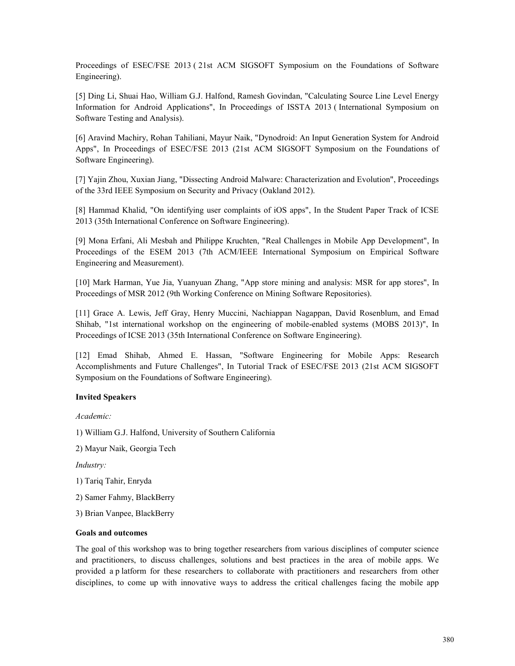Proceedings of ESEC/FSE 2013 ( 21st ACM SIGSOFT Symposium on the Foundations of Software Engineering).

[5] Ding Li, Shuai Hao, William G.J. Halfond, Ramesh Govindan, "Calculating Source Line Level Energy Information for Android Applications", In Proceedings of ISSTA 2013 ( International Symposium on Software Testing and Analysis).

[6] Aravind Machiry, Rohan Tahiliani, Mayur Naik, "Dynodroid: An Input Generation System for Android Apps", In Proceedings of ESEC/FSE 2013 (21st ACM SIGSOFT Symposium on the Foundations of Software Engineering).

[7] Yajin Zhou, Xuxian Jiang, "Dissecting Android Malware: Characterization and Evolution", Proceedings of the 33rd IEEE Symposium on Security and Privacy (Oakland 2012).

[8] Hammad Khalid, "On identifying user complaints of iOS apps", In the Student Paper Track of ICSE 2013 (35th International Conference on Software Engineering).

[9] Mona Erfani, Ali Mesbah and Philippe Kruchten, "Real Challenges in Mobile App Development", In Proceedings of the ESEM 2013 (7th ACM/IEEE International Symposium on Empirical Software Engineering and Measurement).

[10] Mark Harman, Yue Jia, Yuanyuan Zhang, "App store mining and analysis: MSR for app stores", In Proceedings of MSR 2012 (9th Working Conference on Mining Software Repositories).

[11] Grace A. Lewis, Jeff Gray, Henry Muccini, Nachiappan Nagappan, David Rosenblum, and Emad Shihab, "1st international workshop on the engineering of mobile-enabled systems (MOBS 2013)", In Proceedings of ICSE 2013 (35th International Conference on Software Engineering).

[12] Emad Shihab, Ahmed E. Hassan, "Software Engineering for Mobile Apps: Research Accomplishments and Future Challenges", In Tutorial Track of ESEC/FSE 2013 (21st ACM SIGSOFT Symposium on the Foundations of Software Engineering).

## **Invited Speakers**

*Academic:*

1) William G.J. Halfond, University of Southern California

2) Mayur Naik, Georgia Tech

*Industry:*

1) Tariq Tahir, Enryda

2) Samer Fahmy, BlackBerry

3) Brian Vanpee, BlackBerry

#### **Goals and outcomes**

The goal of this workshop was to bring together researchers from various disciplines of computer science and practitioners, to discuss challenges, solutions and best practices in the area of mobile apps. We provided a p latform for these researchers to collaborate with practitioners and researchers from other disciplines, to come up with innovative ways to address the critical challenges facing the mobile app